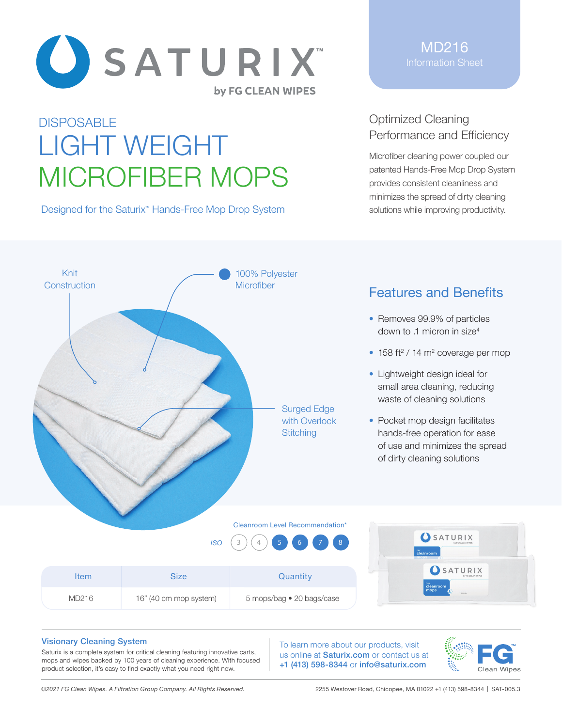

# **DISPOSABLE** LIGHT WEIGHT MICROFIBER MOPS

Designed for the Saturix<sup>™</sup> Hands-Free Mop Drop System

MD216 Information Sheet

## Optimized Cleaning Performance and Efficiency

Microfiber cleaning power coupled our patented Hands-Free Mop Drop System provides consistent cleanliness and minimizes the spread of dirty cleaning solutions while improving productivity.



## Features and Benefits

- Removes 99.9% of particles down to .1 micron in size<sup>4</sup>
- $\bullet$  158 ft<sup>2</sup> / 14 m<sup>2</sup> coverage per mop
- Lightweight design ideal for small area cleaning, reducing waste of cleaning solutions
- Pocket mop design facilitates hands-free operation for ease of use and minimizes the spread of dirty cleaning solutions



| ltem  | Size                   | Quantity                  | SATURIX<br>by FG CLEAN WIPES       |
|-------|------------------------|---------------------------|------------------------------------|
| MD216 | 16" (40 cm mop system) | 5 mops/bag • 20 bags/case | cleanroom<br>mops<br>FURTH TOGETAL |

#### Visionary Cleaning System

Saturix is a complete system for critical cleaning featuring innovative carts, mops and wipes backed by 100 years of cleaning experience. With focused product selection, it's easy to find exactly what you need right now.

To learn more about our products, visit us online at **Saturix.com** or contact us at +1 (413) 598-8344 or info@saturix.com



*©2021 FG Clean Wipes. A Filtration Group Company. All Rights Reserved.* 2255 Westover Road, Chicopee, MA 01022 +1 (413) 598-8344 | SAT-005.3